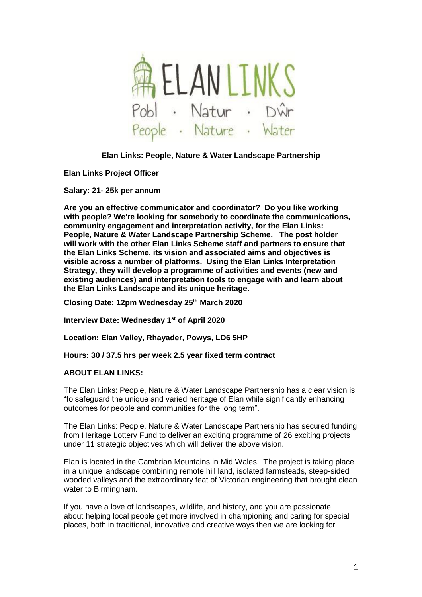

# **Elan Links: People, Nature & Water Landscape Partnership**

## **Elan Links Project Officer**

**Salary: 21- 25k per annum** 

**Are you an effective communicator and coordinator? Do you like working with people? We're looking for somebody to coordinate the communications, community engagement and interpretation activity, for the Elan Links: People, Nature & Water Landscape Partnership Scheme. The post holder will work with the other Elan Links Scheme staff and partners to ensure that the Elan Links Scheme, its vision and associated aims and objectives is visible across a number of platforms. Using the Elan Links Interpretation Strategy, they will develop a programme of activities and events (new and existing audiences) and interpretation tools to engage with and learn about the Elan Links Landscape and its unique heritage.** 

**Closing Date: 12pm Wednesday 25th March 2020**

**Interview Date: Wednesday 1 st of April 2020**

**Location: Elan Valley, Rhayader, Powys, LD6 5HP**

**Hours: 30 / 37.5 hrs per week 2.5 year fixed term contract**

## **ABOUT ELAN LINKS:**

The Elan Links: People, Nature & Water Landscape Partnership has a clear vision is "to safeguard the unique and varied heritage of Elan while significantly enhancing outcomes for people and communities for the long term".

The Elan Links: People, Nature & Water Landscape Partnership has secured funding from Heritage Lottery Fund to deliver an exciting programme of 26 exciting projects under 11 strategic objectives which will deliver the above vision.

Elan is located in the Cambrian Mountains in Mid Wales. The project is taking place in a unique landscape combining remote hill land, isolated farmsteads, steep-sided wooded valleys and the extraordinary feat of Victorian engineering that brought clean water to Birmingham.

If you have a love of landscapes, wildlife, and history, and you are passionate about helping local people get more involved in championing and caring for special places, both in traditional, innovative and creative ways then we are looking for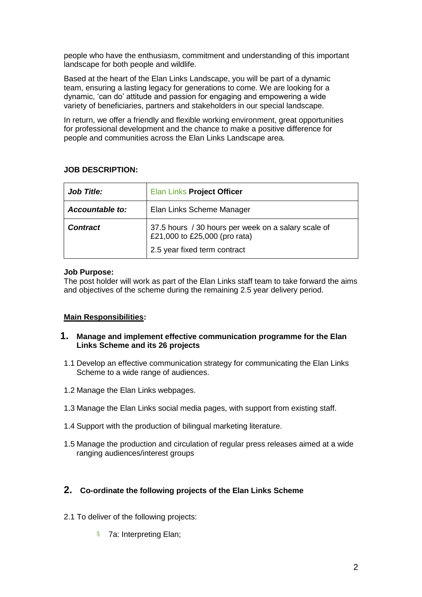people who have the enthusiasm, commitment and understanding of this important landscape for both people and wildlife.

Based at the heart of the Elan Links Landscape, you will be part of a dynamic team, ensuring a lasting legacy for generations to come. We are looking for a dynamic, 'can do' attitude and passion for engaging and empowering a wide variety of beneficiaries, partners and stakeholders in our special landscape.

In return, we offer a friendly and flexible working environment, great opportunities for professional development and the chance to make a positive difference for people and communities across the Elan Links Landscape area.

# **JOB DESCRIPTION:**

| <b>Job Title:</b>      | Elan Links Project Officer                                                                                           |
|------------------------|----------------------------------------------------------------------------------------------------------------------|
| <b>Accountable to:</b> | Elan Links Scheme Manager                                                                                            |
| <b>Contract</b>        | 37.5 hours / 30 hours per week on a salary scale of<br>£21,000 to £25,000 (pro rata)<br>2.5 year fixed term contract |

# **Job Purpose:**

The post holder will work as part of the Elan Links staff team to take forward the aims and objectives of the scheme during the remaining 2.5 year delivery period.

# **Main Responsibilities:**

## **1. Manage and implement effective communication programme for the Elan Links Scheme and its 26 projects**

- 1.1 Develop an effective communication strategy for communicating the Elan Links Scheme to a wide range of audiences.
- 1.2 Manage the Elan Links webpages.
- 1.3 Manage the Elan Links social media pages, with support from existing staff.
- 1.4 Support with the production of bilingual marketing literature.
- 1.5 Manage the production and circulation of regular press releases aimed at a wide ranging audiences/interest groups

# **2. Co-ordinate the following projects of the Elan Links Scheme**

- 2.1 To deliver of the following projects:
	- **A** 7a: Interpreting Elan;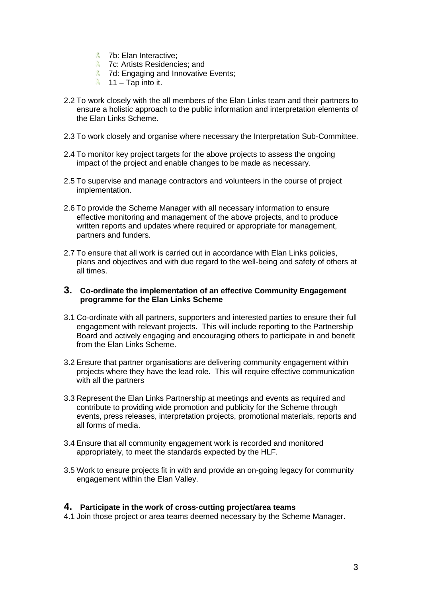- **4** 7b: Elan Interactive;
- **4** 7c: Artists Residencies; and
- **4 7d: Engaging and Innovative Events;**
- $11 \text{Tap}$  into it.
- 2.2 To work closely with the all members of the Elan Links team and their partners to ensure a holistic approach to the public information and interpretation elements of the Elan Links Scheme.
- 2.3 To work closely and organise where necessary the Interpretation Sub-Committee.
- 2.4 To monitor key project targets for the above projects to assess the ongoing impact of the project and enable changes to be made as necessary.
- 2.5 To supervise and manage contractors and volunteers in the course of project implementation.
- 2.6 To provide the Scheme Manager with all necessary information to ensure effective monitoring and management of the above projects, and to produce written reports and updates where required or appropriate for management, partners and funders.
- 2.7 To ensure that all work is carried out in accordance with Elan Links policies, plans and objectives and with due regard to the well-being and safety of others at all times.

#### **3. Co-ordinate the implementation of an effective Community Engagement programme for the Elan Links Scheme**

- 3.1 Co-ordinate with all partners, supporters and interested parties to ensure their full engagement with relevant projects. This will include reporting to the Partnership Board and actively engaging and encouraging others to participate in and benefit from the Elan Links Scheme.
- 3.2 Ensure that partner organisations are delivering community engagement within projects where they have the lead role. This will require effective communication with all the partners
- 3.3 Represent the Elan Links Partnership at meetings and events as required and contribute to providing wide promotion and publicity for the Scheme through events, press releases, interpretation projects, promotional materials, reports and all forms of media.
- 3.4 Ensure that all community engagement work is recorded and monitored appropriately, to meet the standards expected by the HLF.
- 3.5 Work to ensure projects fit in with and provide an on-going legacy for community engagement within the Elan Valley.

## **4. Participate in the work of cross-cutting project/area teams**

4.1 Join those project or area teams deemed necessary by the Scheme Manager.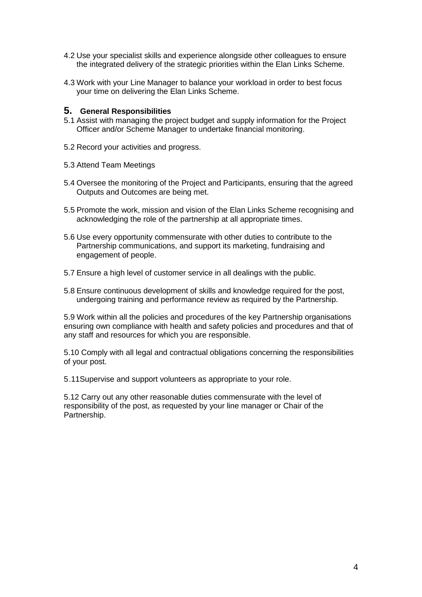- 4.2 Use your specialist skills and experience alongside other colleagues to ensure the integrated delivery of the strategic priorities within the Elan Links Scheme.
- 4.3 Work with your Line Manager to balance your workload in order to best focus your time on delivering the Elan Links Scheme.

#### **5. General Responsibilities**

- 5.1 Assist with managing the project budget and supply information for the Project Officer and/or Scheme Manager to undertake financial monitoring.
- 5.2 Record your activities and progress.
- 5.3 Attend Team Meetings
- 5.4 Oversee the monitoring of the Project and Participants, ensuring that the agreed Outputs and Outcomes are being met.
- 5.5 Promote the work, mission and vision of the Elan Links Scheme recognising and acknowledging the role of the partnership at all appropriate times.
- 5.6 Use every opportunity commensurate with other duties to contribute to the Partnership communications, and support its marketing, fundraising and engagement of people.
- 5.7 Ensure a high level of customer service in all dealings with the public.
- 5.8 Ensure continuous development of skills and knowledge required for the post, undergoing training and performance review as required by the Partnership.

5.9 Work within all the policies and procedures of the key Partnership organisations ensuring own compliance with health and safety policies and procedures and that of any staff and resources for which you are responsible.

5.10 Comply with all legal and contractual obligations concerning the responsibilities of your post.

5.11Supervise and support volunteers as appropriate to your role.

5.12 Carry out any other reasonable duties commensurate with the level of responsibility of the post, as requested by your line manager or Chair of the Partnership.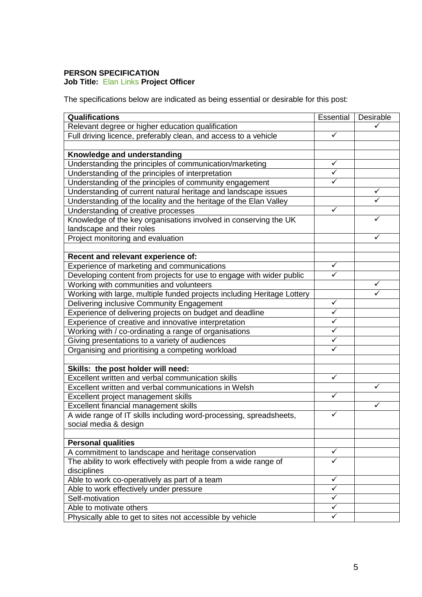# **PERSON SPECIFICATION Job Title:** Elan Links **Project Officer**

The specifications below are indicated as being essential or desirable for this post:

| Qualifications                                                          |   | Desirable |
|-------------------------------------------------------------------------|---|-----------|
| Relevant degree or higher education qualification                       |   |           |
| Full driving licence, preferably clean, and access to a vehicle         |   |           |
|                                                                         |   |           |
| Knowledge and understanding                                             |   |           |
| Understanding the principles of communication/marketing                 |   |           |
| Understanding of the principles of interpretation                       |   |           |
| Understanding of the principles of community engagement                 |   |           |
| Understanding of current natural heritage and landscape issues          |   | ✓         |
| Understanding of the locality and the heritage of the Elan Valley       |   |           |
| Understanding of creative processes                                     |   |           |
| Knowledge of the key organisations involved in conserving the UK        |   | ✓         |
| landscape and their roles                                               |   |           |
| Project monitoring and evaluation                                       |   | ✓         |
|                                                                         |   |           |
| Recent and relevant experience of:                                      |   |           |
| Experience of marketing and communications                              | ✓ |           |
| Developing content from projects for use to engage with wider public    | ✓ |           |
| Working with communities and volunteers                                 |   | ✓         |
| Working with large, multiple funded projects including Heritage Lottery |   |           |
| Delivering inclusive Community Engagement                               |   |           |
| Experience of delivering projects on budget and deadline                |   |           |
| Experience of creative and innovative interpretation                    |   |           |
| Working with / co-ordinating a range of organisations                   |   |           |
| Giving presentations to a variety of audiences                          |   |           |
| Organising and prioritising a competing workload                        |   |           |
|                                                                         |   |           |
| Skills: the post holder will need:                                      |   |           |
| Excellent written and verbal communication skills                       |   |           |
| Excellent written and verbal communications in Welsh                    |   | ✓         |
| Excellent project management skills                                     |   |           |
| Excellent financial management skills                                   |   | ✓         |
| A wide range of IT skills including word-processing, spreadsheets,      |   |           |
| social media & design                                                   |   |           |
|                                                                         |   |           |
| <b>Personal qualities</b>                                               |   |           |
| A commitment to landscape and heritage conservation                     |   |           |
| The ability to work effectively with people from a wide range of        |   |           |
| disciplines                                                             |   |           |
| Able to work co-operatively as part of a team                           |   |           |
| Able to work effectively under pressure                                 |   |           |
| Self-motivation                                                         |   |           |
| Able to motivate others                                                 |   |           |
| Physically able to get to sites not accessible by vehicle               |   |           |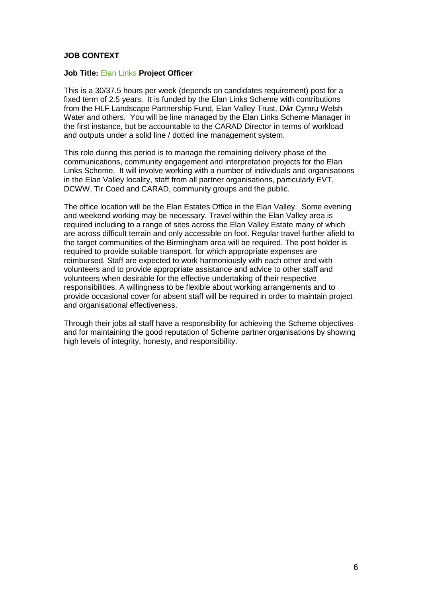# **JOB CONTEXT**

#### **Job Title:** Elan Links **Project Officer**

This is a 30/37.5 hours per week (depends on candidates requirement) post for a fixed term of 2.5 years. It is funded by the Elan Links Scheme with contributions from the HLF Landscape Partnership Fund, Elan Valley Trust, Dŵr Cymru Welsh Water and others. You will be line managed by the Elan Links Scheme Manager in the first instance, but be accountable to the CARAD Director in terms of workload and outputs under a solid line / dotted line management system.

This role during this period is to manage the remaining delivery phase of the communications, community engagement and interpretation projects for the Elan Links Scheme. It will involve working with a number of individuals and organisations in the Elan Valley locality, staff from all partner organisations, particularly EVT, DCWW, Tir Coed and CARAD, community groups and the public.

The office location will be the Elan Estates Office in the Elan Valley. Some evening and weekend working may be necessary. Travel within the Elan Valley area is required including to a range of sites across the Elan Valley Estate many of which are across difficult terrain and only accessible on foot. Regular travel further afield to the target communities of the Birmingham area will be required. The post holder is required to provide suitable transport, for which appropriate expenses are reimbursed. Staff are expected to work harmoniously with each other and with volunteers and to provide appropriate assistance and advice to other staff and volunteers when desirable for the effective undertaking of their respective responsibilities. A willingness to be flexible about working arrangements and to provide occasional cover for absent staff will be required in order to maintain project and organisational effectiveness.

Through their jobs all staff have a responsibility for achieving the Scheme objectives and for maintaining the good reputation of Scheme partner organisations by showing high levels of integrity, honesty, and responsibility.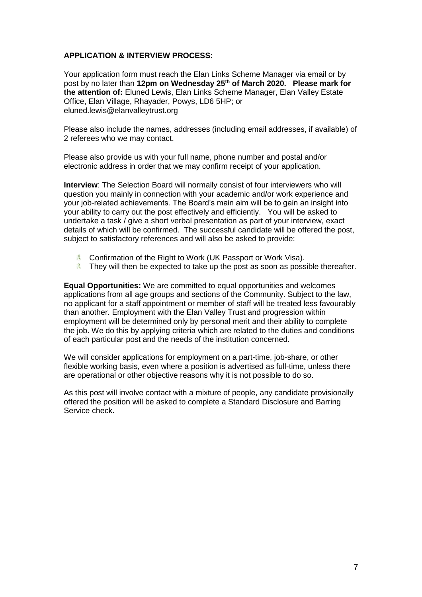# **APPLICATION & INTERVIEW PROCESS:**

Your application form must reach the Elan Links Scheme Manager via email or by post by no later than **12pm on Wednesday 25th of March 2020. Please mark for the attention of:** Eluned Lewis, Elan Links Scheme Manager, Elan Valley Estate Office, Elan Village, Rhayader, Powys, LD6 5HP; or eluned.lewis@elanvalleytrust.org

Please also include the names, addresses (including email addresses, if available) of 2 referees who we may contact.

Please also provide us with your full name, phone number and postal and/or electronic address in order that we may confirm receipt of your application.

**Interview**: The Selection Board will normally consist of four interviewers who will question you mainly in connection with your academic and/or work experience and your job-related achievements. The Board's main aim will be to gain an insight into your ability to carry out the post effectively and efficiently. You will be asked to undertake a task / give a short verbal presentation as part of your interview, exact details of which will be confirmed. The successful candidate will be offered the post, subject to satisfactory references and will also be asked to provide:

- 急 Confirmation of the Right to Work (UK Passport or Work Visa).
- 痛 They will then be expected to take up the post as soon as possible thereafter.

**Equal Opportunities:** We are committed to equal opportunities and welcomes applications from all age groups and sections of the Community. Subject to the law, no applicant for a staff appointment or member of staff will be treated less favourably than another. Employment with the Elan Valley Trust and progression within employment will be determined only by personal merit and their ability to complete the job. We do this by applying criteria which are related to the duties and conditions of each particular post and the needs of the institution concerned.

We will consider applications for employment on a part-time, job-share, or other flexible working basis, even where a position is advertised as full-time, unless there are operational or other objective reasons why it is not possible to do so.

As this post will involve contact with a mixture of people, any candidate provisionally offered the position will be asked to complete a Standard Disclosure and Barring Service check.